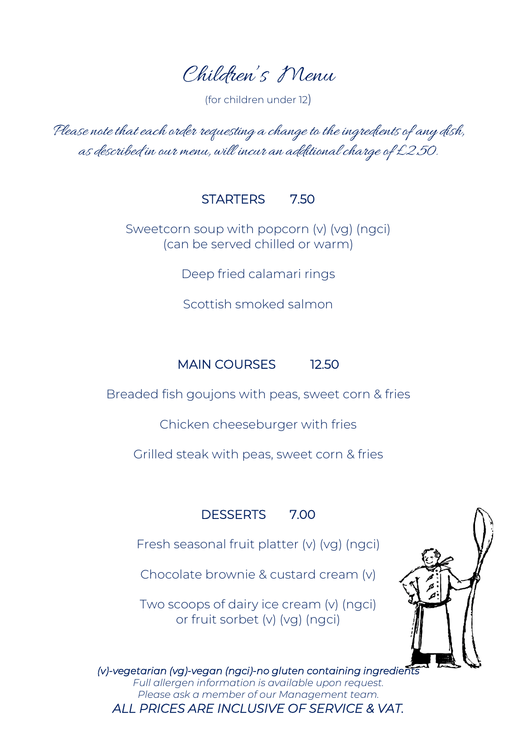Children's Menu

(for children under 12)

Please note that each order requesting a change to the ingredients of any dish, as described in our menu, will incur an additional charge of £2.50.

#### STARTERS 7.50

Sweetcorn soup with popcorn (v) (vg) (ngci) (can be served chilled or warm)

Deep fried calamari rings

Scottish smoked salmon

# MAIN COURSES 12.50

Breaded fish goujons with peas, sweet corn & fries

Chicken cheeseburger with fries

Grilled steak with peas, sweet corn & fries

## DESSERTS 7.00

Fresh seasonal fruit platter (v) (vg) (ngci)

Chocolate brownie & custard cream (v)

Two scoops of dairy ice cream (v) (ngci) or fruit sorbet (v) (vg) (ngci)



*(v)-vegetarian (vg)-vegan (ngci)-no gluten containing ingredients* 

*Full allergen information is available upon request. Please ask a member of our Management team. ALL PRICES ARE INCLUSIVE OF SERVICE & VAT.*